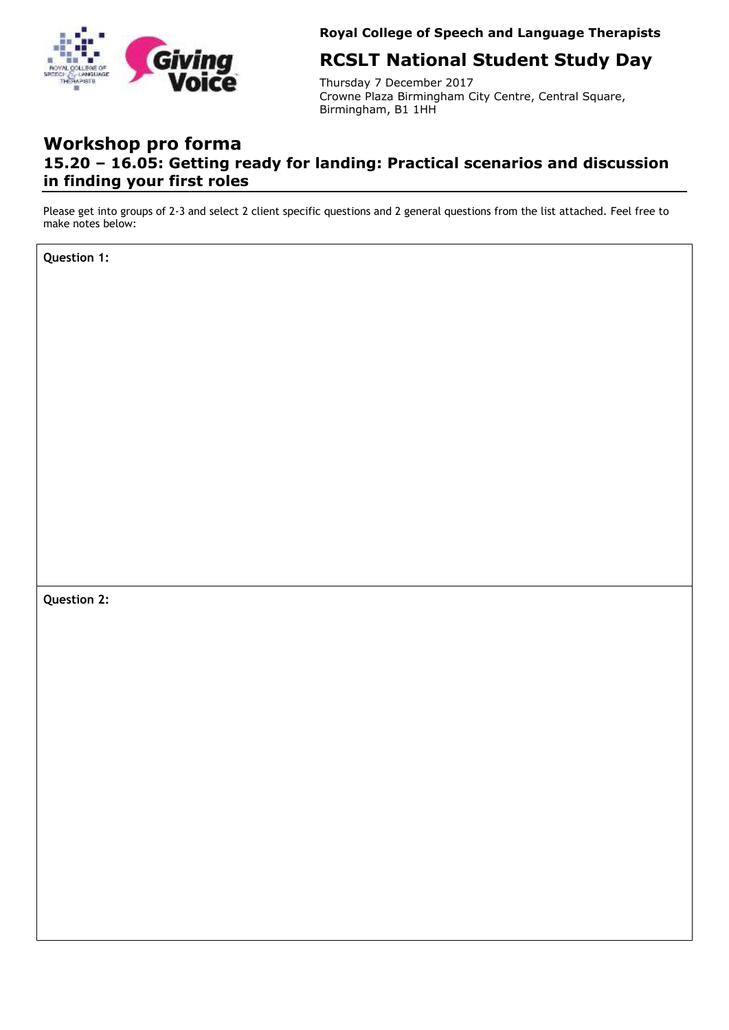

**Royal College of Speech and Language Therapists** 

# **RCSLT National Student Study Day**

Thursday 7 December 2017 Crowne Plaza Birmingham City Centre, Central Square, Birmingham, B1 1HH

## **Workshop pro forma 15.20 – 16.05: Getting ready for landing: Practical scenarios and discussion in finding your first roles**

Please get into groups of 2-3 and select 2 client specific questions and 2 general questions from the list attached. Feel free to make notes below:

**Question 1:**

**Question 2:**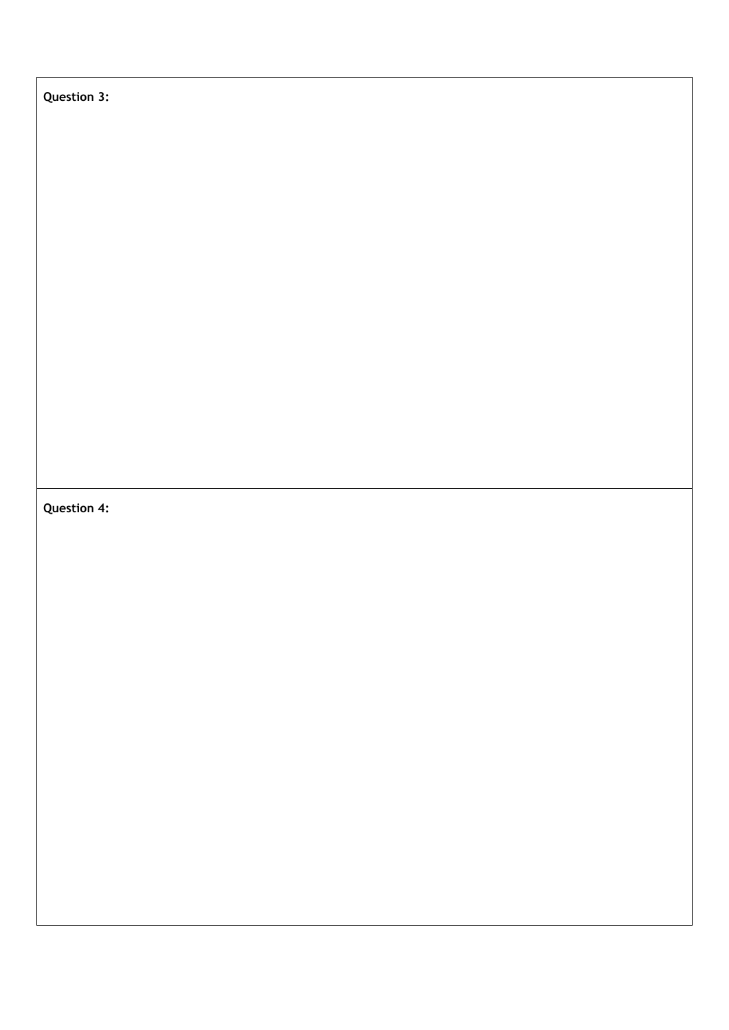## **Question 3:**

### **Question 4:**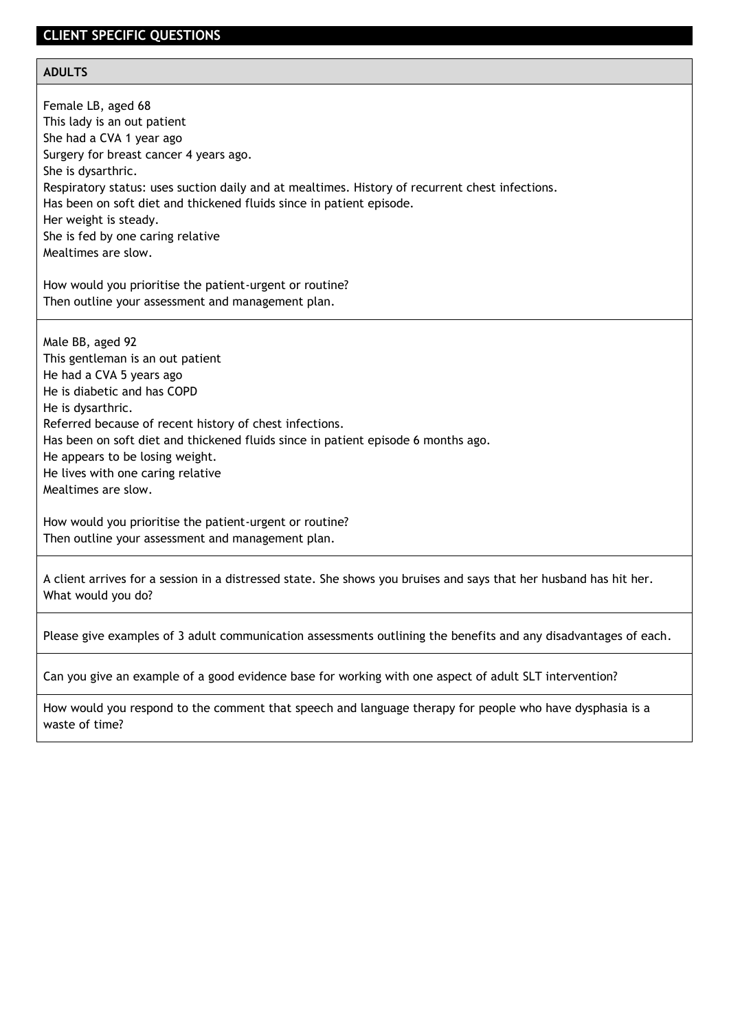#### **CLIENT SPECIFIC QUESTIONS**

#### **ADULTS**

Female LB, aged 68 This lady is an out patient She had a CVA 1 year ago Surgery for breast cancer 4 years ago. She is dysarthric. Respiratory status: uses suction daily and at mealtimes. History of recurrent chest infections. Has been on soft diet and thickened fluids since in patient episode. Her weight is steady. She is fed by one caring relative Mealtimes are slow.

How would you prioritise the patient-urgent or routine? Then outline your assessment and management plan.

Male BB, aged 92 This gentleman is an out patient He had a CVA 5 years ago He is diabetic and has COPD He is dysarthric. Referred because of recent history of chest infections. Has been on soft diet and thickened fluids since in patient episode 6 months ago. He appears to be losing weight. He lives with one caring relative Mealtimes are slow.

How would you prioritise the patient-urgent or routine? Then outline your assessment and management plan.

A client arrives for a session in a distressed state. She shows you bruises and says that her husband has hit her. What would you do?

Please give examples of 3 adult communication assessments outlining the benefits and any disadvantages of each.

Can you give an example of a good evidence base for working with one aspect of adult SLT intervention?

How would you respond to the comment that speech and language therapy for people who have dysphasia is a waste of time?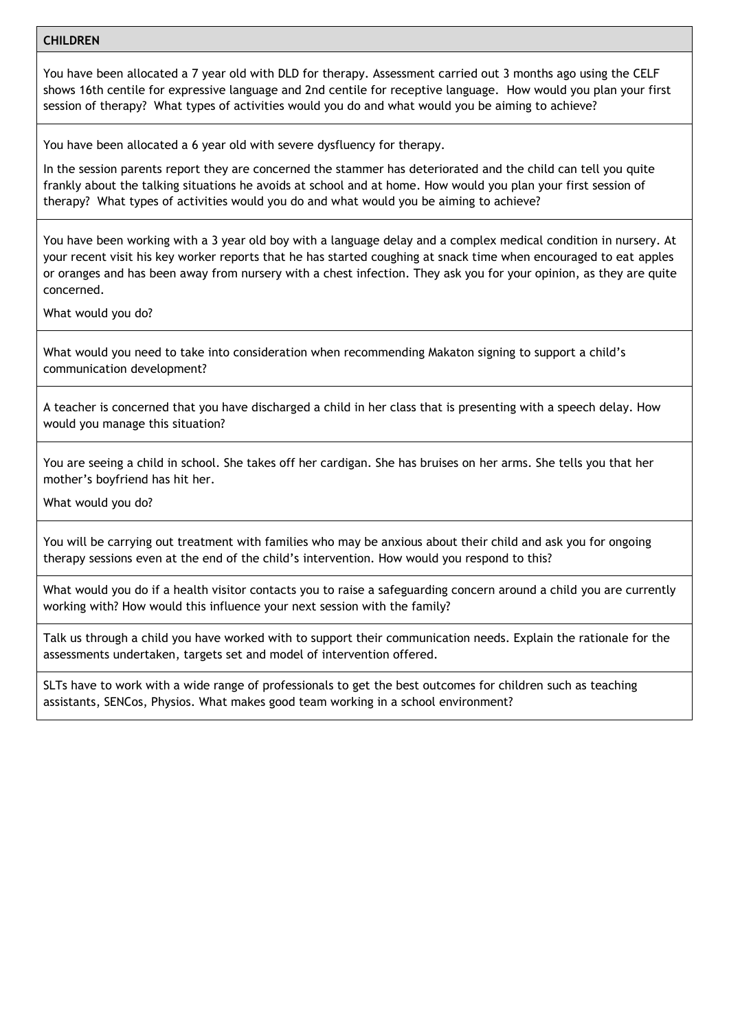#### **CHILDREN**

You have been allocated a 7 year old with DLD for therapy. Assessment carried out 3 months ago using the CELF shows 16th centile for expressive language and 2nd centile for receptive language. How would you plan your first session of therapy? What types of activities would you do and what would you be aiming to achieve?

You have been allocated a 6 year old with severe dysfluency for therapy.

In the session parents report they are concerned the stammer has deteriorated and the child can tell you quite frankly about the talking situations he avoids at school and at home. How would you plan your first session of therapy? What types of activities would you do and what would you be aiming to achieve?

You have been working with a 3 year old boy with a language delay and a complex medical condition in nursery. At your recent visit his key worker reports that he has started coughing at snack time when encouraged to eat apples or oranges and has been away from nursery with a chest infection. They ask you for your opinion, as they are quite concerned.

What would you do?

What would you need to take into consideration when recommending Makaton signing to support a child's communication development?

A teacher is concerned that you have discharged a child in her class that is presenting with a speech delay. How would you manage this situation?

You are seeing a child in school. She takes off her cardigan. She has bruises on her arms. She tells you that her mother's boyfriend has hit her.

What would you do?

You will be carrying out treatment with families who may be anxious about their child and ask you for ongoing therapy sessions even at the end of the child's intervention. How would you respond to this?

What would you do if a health visitor contacts you to raise a safeguarding concern around a child you are currently working with? How would this influence your next session with the family?

Talk us through a child you have worked with to support their communication needs. Explain the rationale for the assessments undertaken, targets set and model of intervention offered.

SLTs have to work with a wide range of professionals to get the best outcomes for children such as teaching assistants, SENCos, Physios. What makes good team working in a school environment?